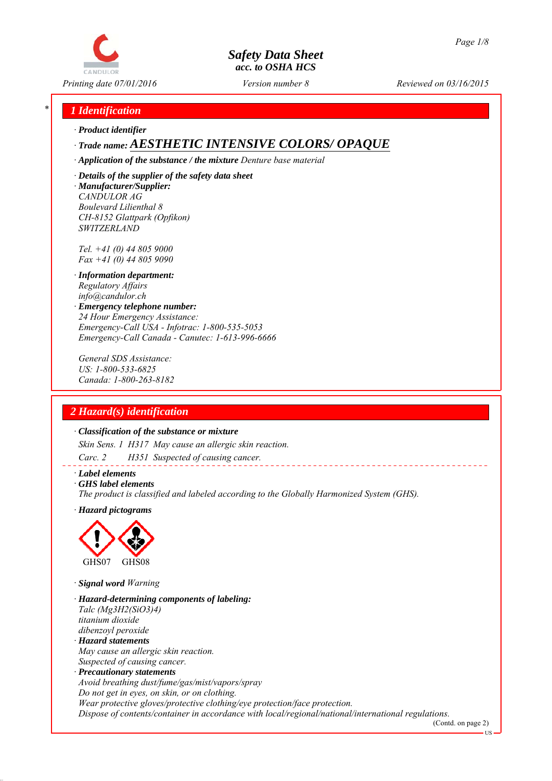

*Printing date 07/01/2016 Reviewed on 03/16/2015 Version number 8*

## *\* 1 Identification*

*∙ Product identifier*

# *∙ Trade name: AESTHETIC INTENSIVE COLORS/ OPAQUE*

*∙ Application of the substance / the mixture Denture base material*

*∙ Details of the supplier of the safety data sheet ∙ Manufacturer/Supplier: CANDULOR AG Boulevard Lilienthal 8 CH-8152 Glattpark (Opfikon) SWITZERLAND*

*Tel. +41 (0) 44 805 9000 Fax +41 (0) 44 805 9090*

- *∙ Information department: Regulatory Affairs info@candulor.ch*
- *∙ Emergency telephone number: 24 Hour Emergency Assistance: Emergency-Call USA - Infotrac: 1-800-535-5053 Emergency-Call Canada - Canutec: 1-613-996-6666*

*General SDS Assistance: US: 1-800-533-6825 Canada: 1-800-263-8182*

## *2 Hazard(s) identification*

#### *∙ Classification of the substance or mixture*

*Skin Sens. 1 H317 May cause an allergic skin reaction.*

*Carc. 2 H351 Suspected of causing cancer.*

- *∙ Label elements*
- *∙ GHS label elements*

*The product is classified and labeled according to the Globally Harmonized System (GHS).*

*∙ Hazard pictograms*



*∙ Signal word Warning*

- *∙ Hazard-determining components of labeling: Talc (Mg3H2(SiO3)4) titanium dioxide dibenzoyl peroxide ∙ Hazard statements*
- *May cause an allergic skin reaction. Suspected of causing cancer.*
- *∙ Precautionary statements Avoid breathing dust/fume/gas/mist/vapors/spray Do not get in eyes, on skin, or on clothing. Wear protective gloves/protective clothing/eye protection/face protection. Dispose of contents/container in accordance with local/regional/national/international regulations.*

(Contd. on page 2)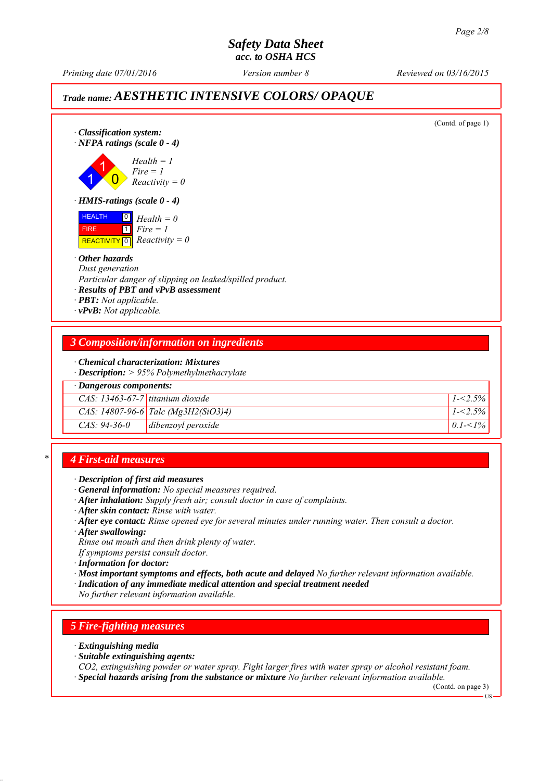*Printing date 07/01/2016 Reviewed on 03/16/2015 Version number 8*

# *Trade name: AESTHETIC INTENSIVE COLORS/ OPAQUE*

| $\cdot$ Classification system:<br>$\cdot$ NFPA ratings (scale 0 - 4)                                          |                                                                                                      | (Contd. of page 1) |
|---------------------------------------------------------------------------------------------------------------|------------------------------------------------------------------------------------------------------|--------------------|
|                                                                                                               | $Health = 1$<br>$Fire = 1$<br>$Reactivity = 0$                                                       |                    |
| $\cdot$ HMIS-ratings (scale $0 - 4$ )                                                                         |                                                                                                      |                    |
| <b>HEALTH</b><br>$\boxed{0}$<br><b>FIRE</b><br>  1   <br>REACTIVITY 0 $Reactivity = 0$                        | $Health = 0$<br>$Fire = 1$                                                                           |                    |
| • Other hazards<br>Dust generation<br>· <b>PBT</b> : Not applicable.<br>$\cdot$ <b>vPvB</b> : Not applicable. | Particular danger of slipping on leaked/spilled product.<br>· Results of PBT and vPvB assessment     |                    |
|                                                                                                               | <b>3 Composition/information on ingredients</b>                                                      |                    |
|                                                                                                               | · Chemical characterization: Mixtures<br>$\cdot$ <b>Description:</b> $> 95\%$ Polymethylmethacrylate |                    |
| $\cdot$ Dangerous components:                                                                                 |                                                                                                      |                    |
| $CAS: 13463-67-7$ titanium dioxide                                                                            |                                                                                                      | $1 - 2.5\%$        |
|                                                                                                               | CAS: $14807 - 96 - 6$ Talc (Mg3H2(SiO3)4)                                                            | $1 - 2.5\%$        |
| $CAS: 94-36-0$                                                                                                | dibenzoyl peroxide                                                                                   | $0.1 - 1\%$        |

## *\* 4 First-aid measures*

*∙ Description of first aid measures*

- *∙ General information: No special measures required.*
- *∙ After inhalation: Supply fresh air; consult doctor in case of complaints.*
- *∙ After skin contact: Rinse with water.*
- *∙ After eye contact: Rinse opened eye for several minutes under running water. Then consult a doctor.*

*∙ After swallowing:*

*Rinse out mouth and then drink plenty of water.*

- *If symptoms persist consult doctor.*
- *∙ Information for doctor:*
- *∙ Most important symptoms and effects, both acute and delayed No further relevant information available.*
- *∙ Indication of any immediate medical attention and special treatment needed*

*No further relevant information available.*

# *5 Fire-fighting measures*

- *∙ Extinguishing media*
- *∙ Suitable extinguishing agents:*
- *CO2, extinguishing powder or water spray. Fight larger fires with water spray or alcohol resistant foam.*
- *∙ Special hazards arising from the substance or mixture No further relevant information available.*

(Contd. on page 3)

US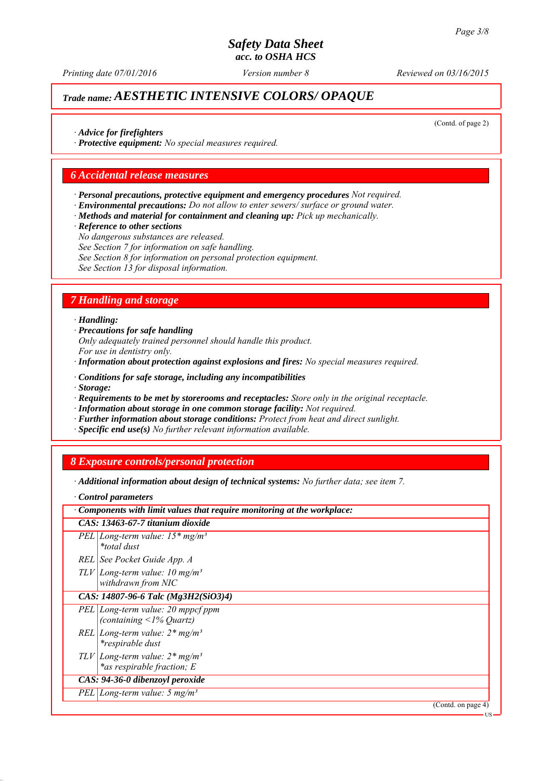*Printing date 07/01/2016 Reviewed on 03/16/2015 Version number 8*

# *Trade name: AESTHETIC INTENSIVE COLORS/ OPAQUE*

(Contd. of page 2)

*∙ Advice for firefighters*

*∙ Protective equipment: No special measures required.*

#### *6 Accidental release measures*

- *∙ Personal precautions, protective equipment and emergency procedures Not required.*
- *∙ Environmental precautions: Do not allow to enter sewers/ surface or ground water.*
- *∙ Methods and material for containment and cleaning up: Pick up mechanically.*
- *∙ Reference to other sections*
- *No dangerous substances are released.*
- *See Section 7 for information on safe handling.*
- *See Section 8 for information on personal protection equipment.*

*See Section 13 for disposal information.*

#### *7 Handling and storage*

#### *∙ Handling:*

- *∙ Precautions for safe handling Only adequately trained personnel should handle this product. For use in dentistry only.*
- *∙ Information about protection against explosions and fires: No special measures required.*
- *∙ Conditions for safe storage, including any incompatibilities*
- *∙ Storage:*
- *∙ Requirements to be met by storerooms and receptacles: Store only in the original receptacle.*
- *∙ Information about storage in one common storage facility: Not required.*
- *∙ Further information about storage conditions: Protect from heat and direct sunlight.*
- *∙ Specific end use(s) No further relevant information available.*

#### *8 Exposure controls/personal protection*

*∙ Additional information about design of technical systems: No further data; see item 7.*

*∙ Control parameters*

| $\cdot$ Components with limit values that require monitoring at the workplace: |
|--------------------------------------------------------------------------------|
| CAS: 13463-67-7 titanium dioxide                                               |
| PEL Long-term value: $15*mg/m^3$<br><i>*total dust</i>                         |
| REL See Pocket Guide App. A                                                    |
| $TLV$ Long-term value: 10 mg/m <sup>3</sup><br>withdrawn from NIC              |
| CAS: 14807-96-6 Talc (Mg3H2(SiO3)4)                                            |
| PEL Long-term value: 20 mppcf ppm<br>(containing $\leq$ 1% Quartz)             |
| REL Long-term value: $2*mg/m^3$<br><i>*respirable dust</i>                     |
| $TLV$ Long-term value: $2*mg/m^3$<br>*as respirable fraction; E                |
| CAS: 94-36-0 dibenzoyl peroxide                                                |
| PEL Long-term value: $5 \text{ mg/m}^3$                                        |
| (Contd. on page 4)                                                             |
|                                                                                |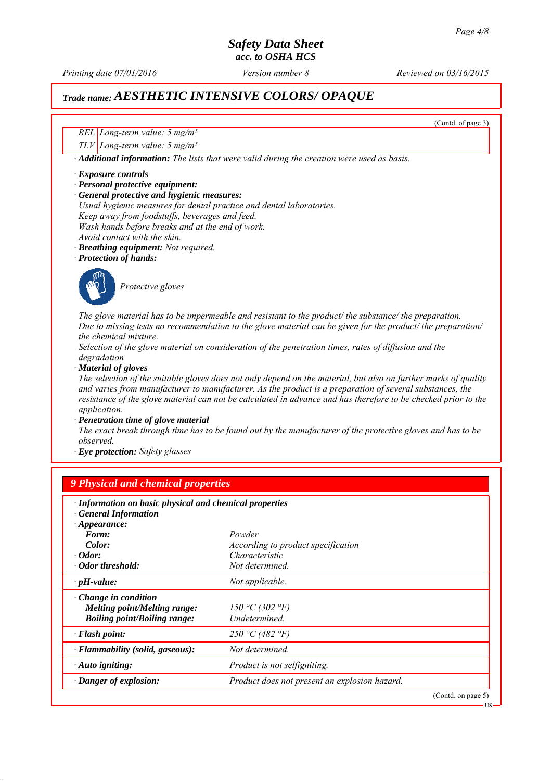*Printing date 07/01/2016 Reviewed on 03/16/2015 Version number 8*

(Contd. of page 3)

US

# *Trade name: AESTHETIC INTENSIVE COLORS/ OPAQUE*

*REL Long-term value: 5 mg/m³*

*TLV Long-term value: 5 mg/m³*

*∙ Additional information: The lists that were valid during the creation were used as basis.*

#### *∙ Exposure controls*

- *∙ Personal protective equipment:*
- *∙ General protective and hygienic measures:*
- *Usual hygienic measures for dental practice and dental laboratories. Keep away from foodstuffs, beverages and feed. Wash hands before breaks and at the end of work. Avoid contact with the skin.*
- *∙ Breathing equipment: Not required.*

*∙ Protection of hands:*



*Protective gloves*

*The glove material has to be impermeable and resistant to the product/ the substance/ the preparation. Due to missing tests no recommendation to the glove material can be given for the product/ the preparation/ the chemical mixture.*

*Selection of the glove material on consideration of the penetration times, rates of diffusion and the degradation*

*∙ Material of gloves*

*The selection of the suitable gloves does not only depend on the material, but also on further marks of quality and varies from manufacturer to manufacturer. As the product is a preparation of several substances, the resistance of the glove material can not be calculated in advance and has therefore to be checked prior to the application.*

*∙ Penetration time of glove material*

*The exact break through time has to be found out by the manufacturer of the protective gloves and has to be observed.*

*∙ Eye protection: Safety glasses*

| 9 Physical and chemical properties                                                                        |                                                      |                    |  |
|-----------------------------------------------------------------------------------------------------------|------------------------------------------------------|--------------------|--|
| · Information on basic physical and chemical properties<br><b>General Information</b>                     |                                                      |                    |  |
| $\cdot$ Appearance:                                                                                       |                                                      |                    |  |
| Form:<br>Color:                                                                                           | Powder                                               |                    |  |
| $\cdot$ Odor:                                                                                             | According to product specification<br>Characteristic |                    |  |
| · Odor threshold:                                                                                         | Not determined.                                      |                    |  |
|                                                                                                           |                                                      |                    |  |
| $\cdot$ pH-value:                                                                                         | Not applicable.                                      |                    |  |
| $\cdot$ Change in condition<br><b>Melting point/Melting range:</b><br><b>Boiling point/Boiling range:</b> | 150 °C (302 °F)<br>Undetermined.                     |                    |  |
| $\cdot$ Flash point:                                                                                      | 250 °C (482 °F)                                      |                    |  |
| $\cdot$ Flammability (solid, gaseous):                                                                    | Not determined.                                      |                    |  |
| $\cdot$ Auto igniting:                                                                                    | <i>Product is not selfigniting.</i>                  |                    |  |
| $\cdot$ Danger of explosion:                                                                              | Product does not present an explosion hazard.        |                    |  |
|                                                                                                           |                                                      | (Contd. on page 5) |  |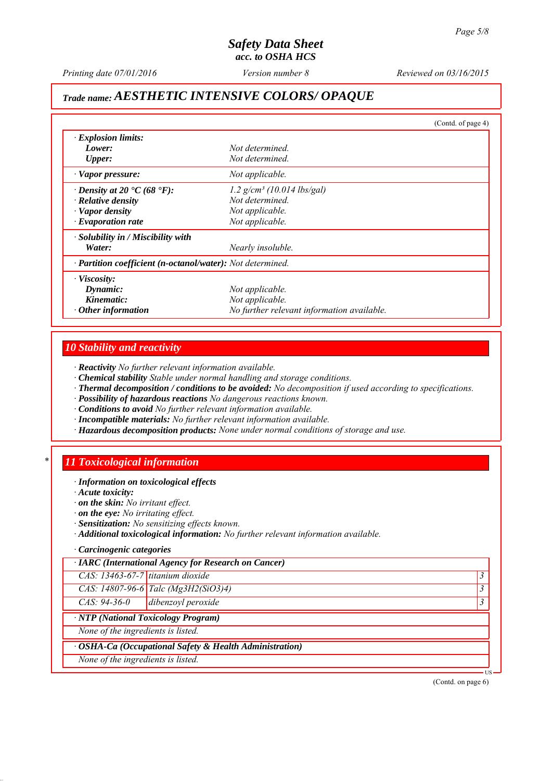*Printing date 07/01/2016 Reviewed on 03/16/2015 Version number 8*

# *Trade name: AESTHETIC INTENSIVE COLORS/ OPAQUE*

|                                                            |                                            | (Contd. of page 4) |
|------------------------------------------------------------|--------------------------------------------|--------------------|
| $\cdot$ Explosion limits:                                  |                                            |                    |
| Lower:                                                     | Not determined.                            |                    |
| <b>Upper:</b>                                              | Not determined.                            |                    |
| · Vapor pressure:                                          | Not applicable.                            |                    |
| $\cdot$ Density at 20 $\cdot$ C (68 $\cdot$ F):            | $1.2$ g/cm <sup>3</sup> (10.014 lbs/gal)   |                    |
| $\cdot$ Relative density                                   | Not determined.                            |                    |
| · Vapor density                                            | Not applicable.                            |                    |
| $\cdot$ Evaporation rate                                   | Not applicable.                            |                    |
| $\cdot$ Solubility in / Miscibility with                   |                                            |                    |
| Water:                                                     | Nearly insoluble.                          |                    |
| · Partition coefficient (n-octanol/water): Not determined. |                                            |                    |
| $\cdot$ Viscosity:                                         |                                            |                    |
| Dynamic:                                                   | Not applicable.                            |                    |
| Kinematic:                                                 | Not applicable.                            |                    |
| $\cdot$ Other information                                  | No further relevant information available. |                    |

#### *10 Stability and reactivity*

*∙ Reactivity No further relevant information available.*

- *∙ Chemical stability Stable under normal handling and storage conditions.*
- *∙ Thermal decomposition / conditions to be avoided: No decomposition if used according to specifications.*
- *∙ Possibility of hazardous reactions No dangerous reactions known.*
- *∙ Conditions to avoid No further relevant information available.*
- *∙ Incompatible materials: No further relevant information available.*
- *∙ Hazardous decomposition products: None under normal conditions of storage and use.*

#### *\* 11 Toxicological information*

- *∙ Information on toxicological effects*
- *∙ Acute toxicity:*
- *∙ on the skin: No irritant effect.*
- *∙ on the eye: No irritating effect.*
- *∙ Sensitization: No sensitizing effects known.*
- *∙ Additional toxicological information: No further relevant information available.*

#### *∙ Carcinogenic categories*

|                                    | · IARC (International Agency for Research on Cancer)    |           |
|------------------------------------|---------------------------------------------------------|-----------|
| $CAS: 13463-67-7$ titanium dioxide |                                                         |           |
|                                    | CAS: 14807-96-6 Talc (Mg3H2(SiO3)4)                     | $\cdot$ 3 |
| $CAS: 94-36-0$                     | dibenzoyl peroxide                                      |           |
|                                    | · NTP (National Toxicology Program)                     |           |
| None of the ingredients is listed. |                                                         |           |
|                                    | · OSHA-Ca (Occupational Safety & Health Administration) |           |
| None of the ingredients is listed. |                                                         |           |

(Contd. on page 6)

US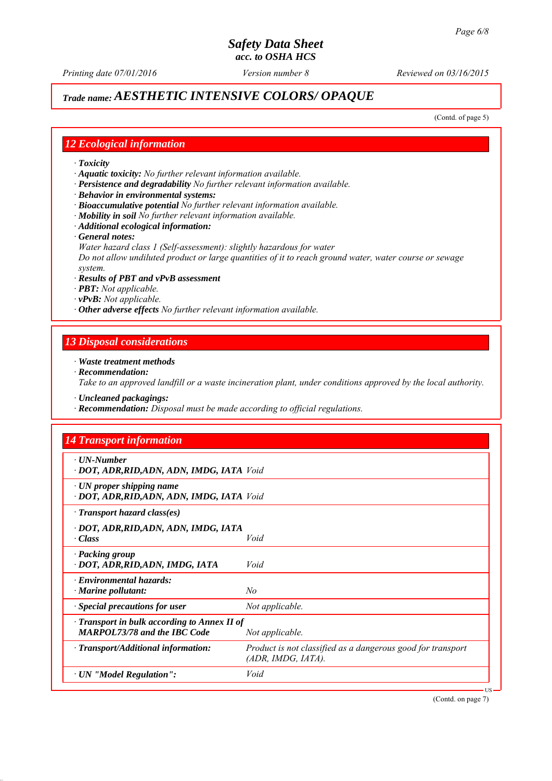# *Trade name: AESTHETIC INTENSIVE COLORS/ OPAQUE*

(Contd. of page 5)

#### *12 Ecological information*

- *∙ Toxicity*
- *∙ Aquatic toxicity: No further relevant information available.*
- *∙ Persistence and degradability No further relevant information available.*
- *∙ Behavior in environmental systems:*
- *∙ Bioaccumulative potential No further relevant information available.*
- *∙ Mobility in soil No further relevant information available.*
- *∙ Additional ecological information:*
- *∙ General notes:*
- *Water hazard class 1 (Self-assessment): slightly hazardous for water*

*Do not allow undiluted product or large quantities of it to reach ground water, water course or sewage system.*

- *∙ Results of PBT and vPvB assessment*
- *∙ PBT: Not applicable.*
- *∙ vPvB: Not applicable.*
- *∙ Other adverse effects No further relevant information available.*

#### *13 Disposal considerations*

- *∙ Waste treatment methods*
- *∙ Recommendation: Take to an approved landfill or a waste incineration plant, under conditions approved by the local authority.*
- *∙ Uncleaned packagings:*
- *∙ Recommendation: Disposal must be made according to official regulations.*

#### *14 Transport information*

| $\cdot$ UN-Number<br>· DOT, ADR, RID, ADN, ADN, IMDG, IATA Void                           |                                                                                   |
|-------------------------------------------------------------------------------------------|-----------------------------------------------------------------------------------|
| $\cdot$ UN proper shipping name<br>· DOT, ADR, RID, ADN, ADN, IMDG, IATA Void             |                                                                                   |
| $\cdot$ Transport hazard class(es)                                                        |                                                                                   |
| · DOT, ADR,RID,ADN, ADN, IMDG, IATA<br>$\cdot Class$                                      | Void                                                                              |
| · Packing group<br>· DOT, ADR, RID, ADN, IMDG, IATA                                       | Void                                                                              |
| $\cdot$ Environmental hazards:<br>· Marine pollutant:                                     | No                                                                                |
| · Special precautions for user                                                            | Not applicable.                                                                   |
| $\cdot$ Transport in bulk according to Annex II of<br><b>MARPOL73/78 and the IBC Code</b> | Not applicable.                                                                   |
| $\cdot$ Transport/Additional information:                                                 | Product is not classified as a dangerous good for transport<br>(ADR, IMDG, IATA). |
| $\cdot$ UN "Model Regulation":                                                            | Void                                                                              |

(Contd. on page 7)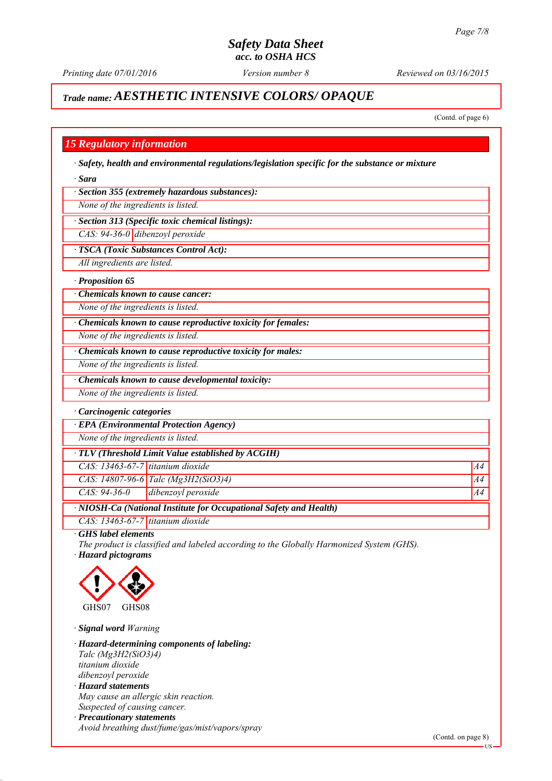*Printing date 07/01/2016 Reviewed on 03/16/2015 Version number 8*

# *Trade name: AESTHETIC INTENSIVE COLORS/ OPAQUE*

(Contd. of page 6)

### *15 Regulatory information*

*∙ Safety, health and environmental regulations/legislation specific for the substance or mixture*

*∙ Sara*

*∙ Section 355 (extremely hazardous substances):*

*None of the ingredients is listed.*

*∙ Section 313 (Specific toxic chemical listings):*

*CAS: 94-36-0 dibenzoyl peroxide*

*∙ TSCA (Toxic Substances Control Act):*

*All ingredients are listed.*

*∙ Proposition 65*

*∙ Chemicals known to cause cancer:*

*None of the ingredients is listed.*

*∙ Chemicals known to cause reproductive toxicity for females:*

*None of the ingredients is listed.*

*∙ Chemicals known to cause reproductive toxicity for males:*

*None of the ingredients is listed.*

*∙ Chemicals known to cause developmental toxicity:*

*None of the ingredients is listed.*

*∙ Carcinogenic categories*

*∙ EPA (Environmental Protection Agency)*

*None of the ingredients is listed.*

*∙ TLV (Threshold Limit Value established by ACGIH)*

*CAS: 13463-67-7 titanium dioxide A4*

*CAS: 14807-96-6 Talc (Mg3H2(SiO3)4) A4*

*CAS: 94-36-0 dibenzoyl peroxide A4*

*∙ NIOSH-Ca (National Institute for Occupational Safety and Health)*

*CAS: 13463-67-7 titanium dioxide*

*∙ GHS label elements*

*The product is classified and labeled according to the Globally Harmonized System (GHS). ∙ Hazard pictograms*



*∙ Signal word Warning*

*∙ Hazard-determining components of labeling: Talc (Mg3H2(SiO3)4) titanium dioxide dibenzoyl peroxide ∙ Hazard statements May cause an allergic skin reaction. Suspected of causing cancer. ∙ Precautionary statements*

*Avoid breathing dust/fume/gas/mist/vapors/spray*

US